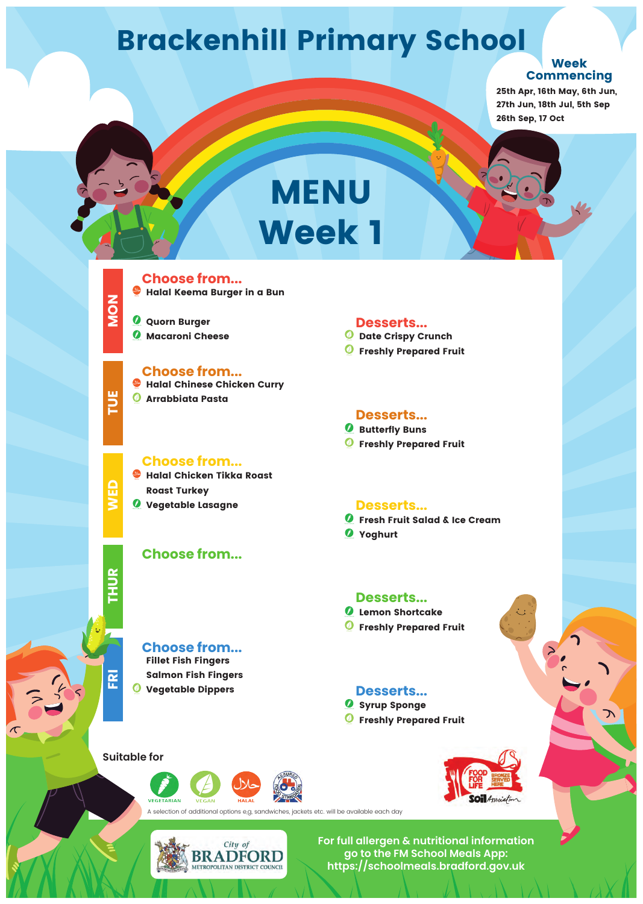**MON**

**TUE** 

**WED**

**THUR**

*Macaroni Cheese* 



#### **Choose from...**

#### **Choose from...**

**Choose from...**

#### **Choose from...**

#### **Desserts...**

- *B* Butterfly Buns
- *<u></u>* Freshly Prepared Fruit

#### **Desserts...**

#### **Desserts...**

#### **Desserts...**

**Ø** Syrup Sponge *<u><b>P* Freshly Prepared Fruit</u>



**Suitable for**



**For full allergen & nutritional information go to the FM School Meals App: https://schoolmeals.bradford.gov.uk**

#### **Choose from...**

- **Date Crispy Crunch**
- *<u></u>* Freshly Prepared Fruit

#### **Desserts...**

## **Brackenhill Primary School**

**Fillet Fish Fingers**



**Halal Chicken Tikka Roast Roast Turkey Vegetable Lasagne**

- **Halal Chinese Chicken Curry**
- **Arrabbiata Pasta**

**Halal Keema Burger in a Bun**

**Quorn Burger**

## **MENU Week 1**

- **Fresh Fruit Salad & Ice Cream**
- **Yoghurt**

**Lemon Shortcake**

*<u></u>* Freshly Prepared Fruit



**25th Apr, 16th May, 6th Jun, 27th Jun, 18th Jul, 5th Sep 26th Sep, 17 Oct**

A selection of additional options e,g, sandwiches, jackets etc. will be available each day



#### **Week Commencing**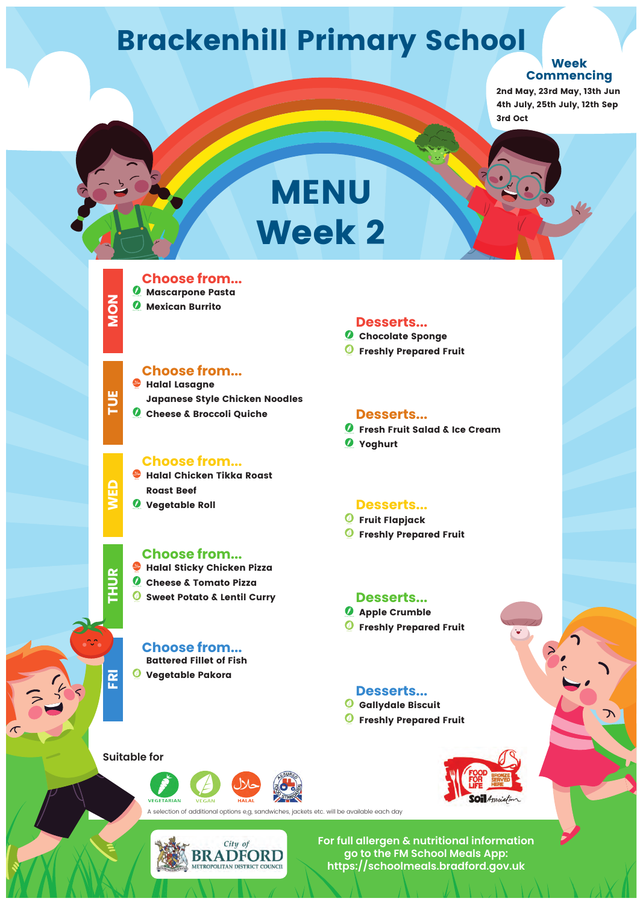

## **TUE**

# **THUR**

#### **Choose from...**

- **Halal Lasagne Japanese Style Chicken Noodles**
- *C* Cheese & Broccoli Quiche

#### **Choose from...**

#### **Choose from...**

#### **Choose from...**



 $\mathcal{C}_0$ 

#### **Desserts...**

#### **Desserts...**

- *<u><b>O* Fruit Flapjack</u>
- *<u><b>P* Freshly Prepared Fruit</u>

#### **Desserts...**

- *Apple Crumble*
- *O* Freshly Prepared Fruit



#### **Desserts...**

- *G* Gallydale Biscuit
- *<u><b>P* Freshly Prepared Fruit</u>



**VEGETARIAN** 

- **Halal Sticky Chicken Pizza**
- **Cheese & Tomato Pizza**
- **Sweet Potato & Lentil Curry**

**For full allergen & nutritional information go to the FM School Meals App: https://schoolmeals.bradford.gov.uk**

#### **Desserts...**

- *C* Chocolate Sponge
- *<u></u>* Freshly Prepared Fruit

## **Brackenhill Primary School**

**Battered Fillet of Fish**

#### **Vegetable Pakora**

#### **Choose from... Mascarpone Pasta**

- **Halal Chicken Tikka Roast Roast Beef**
- **WED Vegetable Roll**
- 
- **Mexican Burrito**

## **MENU Week 2**

- **Fresh Fruit Salad & Ice Cream**
- **Yoghurt**

**2nd May, 23rd May, 13th Jun 4th July, 25th July, 12th Sep 3rd Oct**

A selection of additional options e,g, sandwiches, jackets etc. will be available each day



#### **Week Commencing**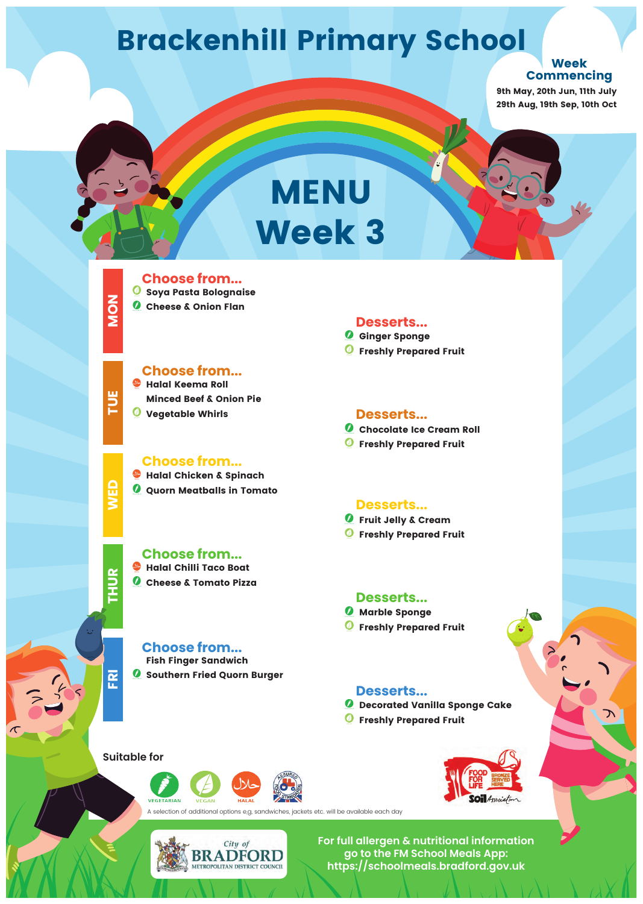**MON**

**TUE**

**WED**

## **THUR**

#### **Choose from...**

#### **Choose from...**



#### **Desserts...**

#### **Desserts...**

#### **Desserts...**

*Marble Sponge <u><b>P* Freshly Prepared Fruit</u>

#### **Desserts...**

**For full allergen & nutritional information go to the FM School Meals App: https://schoolmeals.bradford.gov.uk**

**Choose from... Halal Chilli Taco Boat Cheese & Tomato Pizza**

#### **Desserts...**

#### **Choose from... Halal Keema Roll**

### **Brackenhill Primary School**

**Fish Finger Sandwich**

**Ginger Sponge** *<u><b>@* Freshly Prepared Fruit</u>

#### **Southern Fried Quorn Burger**

- **Chocolate Ice Cream Roll**
- *<u><b>G* Freshly Prepared Fruit</u>

A selection of additional options e,g, sandwiches, jackets etc. will be available each day



**Choose from... Soya Pasta Bolognaise**

*C* Cheese & Onion Flan

- **Halal Chicken & Spinach**
- **Quorn Meatballs in Tomato**

**Minced Beef & Onion Pie Vegetable Whirls**

## **MENU Week 3**

**Fruit Jelly & Cream**

*<u></u>* Freshly Prepared Fruit

**Decorated Vanilla Sponge Cake**

*<u><b>P* Freshly Prepared Fruit</u>



**VEGETARIAN** 

**9th May, 20th Jun, 11th July 29th Aug, 19th Sep, 10th Oct**

#### **Week Commencing**